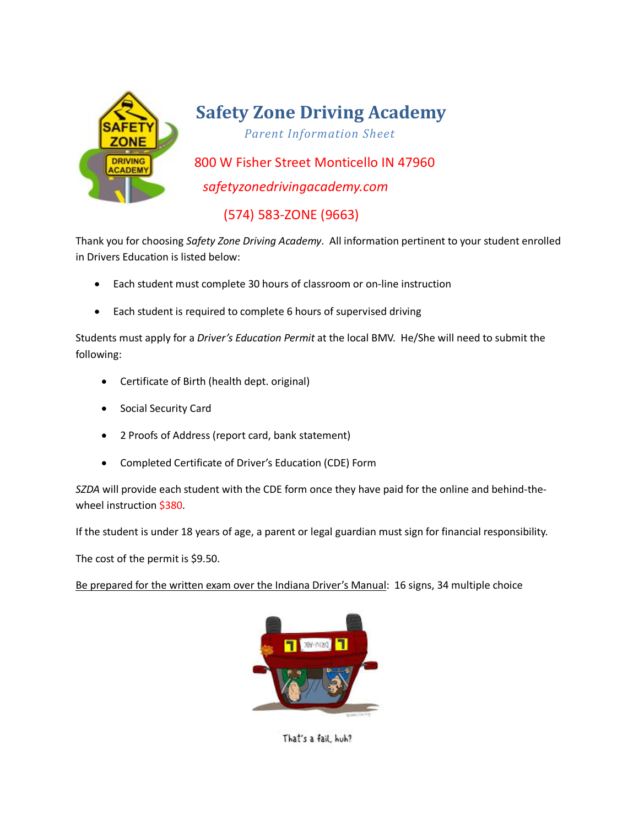

## **Safety Zone Driving Academy**

*Parent Information Sheet*

 800 W Fisher Street Monticello IN 47960 *safetyzonedrivingacademy.com*

(574) 583-ZONE (9663)

Thank you for choosing *Safety Zone Driving Academy*. All information pertinent to your student enrolled in Drivers Education is listed below:

- Each student must complete 30 hours of classroom or on-line instruction
- Each student is required to complete 6 hours of supervised driving

Students must apply for a *Driver's Education Permit* at the local BMV. He/She will need to submit the following:

- Certificate of Birth (health dept. original)
- Social Security Card
- 2 Proofs of Address (report card, bank statement)
- Completed Certificate of Driver's Education (CDE) Form

*SZDA* will provide each student with the CDE form once they have paid for the online and behind-thewheel instruction \$380.

If the student is under 18 years of age, a parent or legal guardian must sign for financial responsibility.

The cost of the permit is \$9.50.

Be prepared for the written exam over the Indiana Driver's Manual: 16 signs, 34 multiple choice



That's a fail, huh?